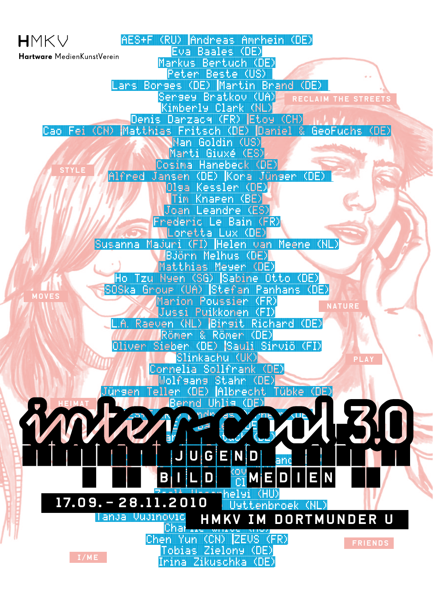